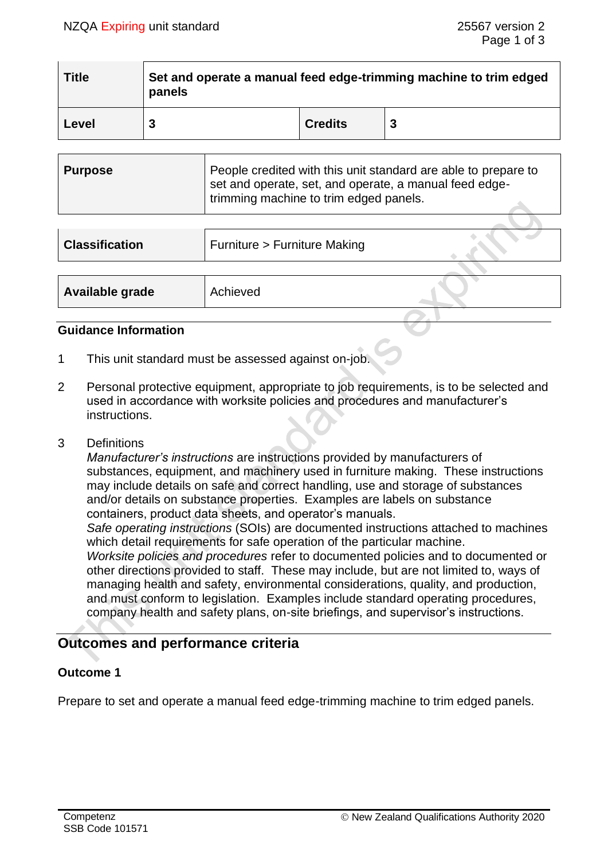| <b>Title</b> | Set and operate a manual feed edge-trimming machine to trim edged<br>panels |                |  |  |
|--------------|-----------------------------------------------------------------------------|----------------|--|--|
| Level        |                                                                             | <b>Credits</b> |  |  |

| Purpose | People credited with this unit standard are able to prepare to<br>set and operate, set, and operate, a manual feed edge- |  |
|---------|--------------------------------------------------------------------------------------------------------------------------|--|
|         | trimming machine to trim edged panels.                                                                                   |  |

| <b>Classification</b> | Furniture > Furniture Making |  |
|-----------------------|------------------------------|--|
|                       |                              |  |
| Available grade       | Achieved                     |  |

#### **Guidance Information**

- 1 This unit standard must be assessed against on-job.
- 2 Personal protective equipment, appropriate to job requirements, is to be selected and used in accordance with worksite policies and procedures and manufacturer's instructions.
- 3 Definitions

*Manufacturer's instructions* are instructions provided by manufacturers of substances, equipment, and machinery used in furniture making. These instructions may include details on safe and correct handling, use and storage of substances and/or details on substance properties. Examples are labels on substance containers, product data sheets, and operator's manuals.

*Safe operating instructions* (SOIs) are documented instructions attached to machines which detail requirements for safe operation of the particular machine.

*Worksite policies and procedures* refer to documented policies and to documented or other directions provided to staff. These may include, but are not limited to, ways of managing health and safety, environmental considerations, quality, and production, and must conform to legislation. Examples include standard operating procedures, company health and safety plans, on-site briefings, and supervisor's instructions.

# **Outcomes and performance criteria**

# **Outcome 1**

Prepare to set and operate a manual feed edge-trimming machine to trim edged panels.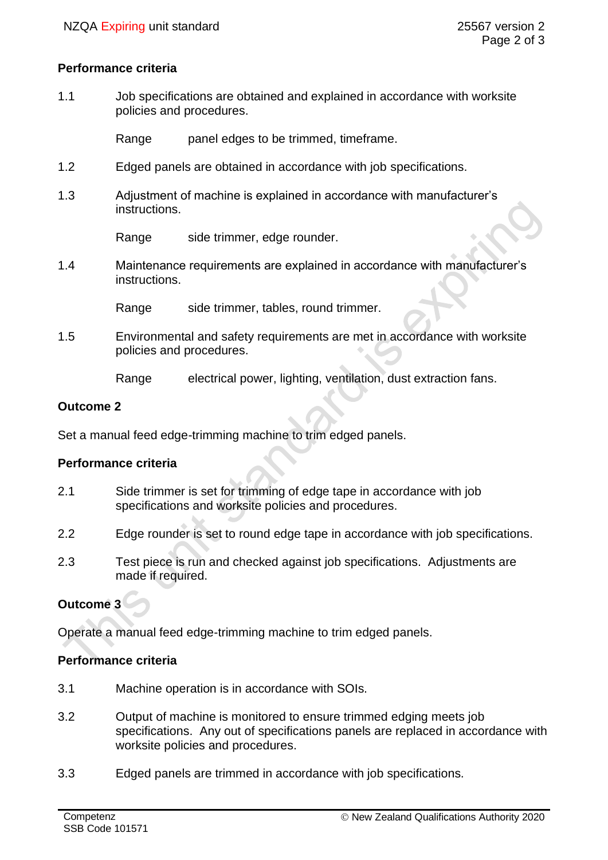#### **Performance criteria**

1.1 Job specifications are obtained and explained in accordance with worksite policies and procedures.

Range panel edges to be trimmed, timeframe.

- 1.2 Edged panels are obtained in accordance with job specifications.
- 1.3 Adjustment of machine is explained in accordance with manufacturer's instructions.

Range side trimmer, edge rounder.

1.4 Maintenance requirements are explained in accordance with manufacturer's instructions.

Range side trimmer, tables, round trimmer.

1.5 Environmental and safety requirements are met in accordance with worksite policies and procedures.

Range electrical power, lighting, ventilation, dust extraction fans.

#### **Outcome 2**

Set a manual feed edge-trimming machine to trim edged panels.

# **Performance criteria**

- 2.1 Side trimmer is set for trimming of edge tape in accordance with job specifications and worksite policies and procedures.
- 2.2 Edge rounder is set to round edge tape in accordance with job specifications.
- 2.3 Test piece is run and checked against job specifications. Adjustments are made if required.

# **Outcome 3**

Operate a manual feed edge-trimming machine to trim edged panels.

# **Performance criteria**

- 3.1 Machine operation is in accordance with SOIs.
- 3.2 Output of machine is monitored to ensure trimmed edging meets job specifications. Any out of specifications panels are replaced in accordance with worksite policies and procedures.
- 3.3 Edged panels are trimmed in accordance with job specifications.